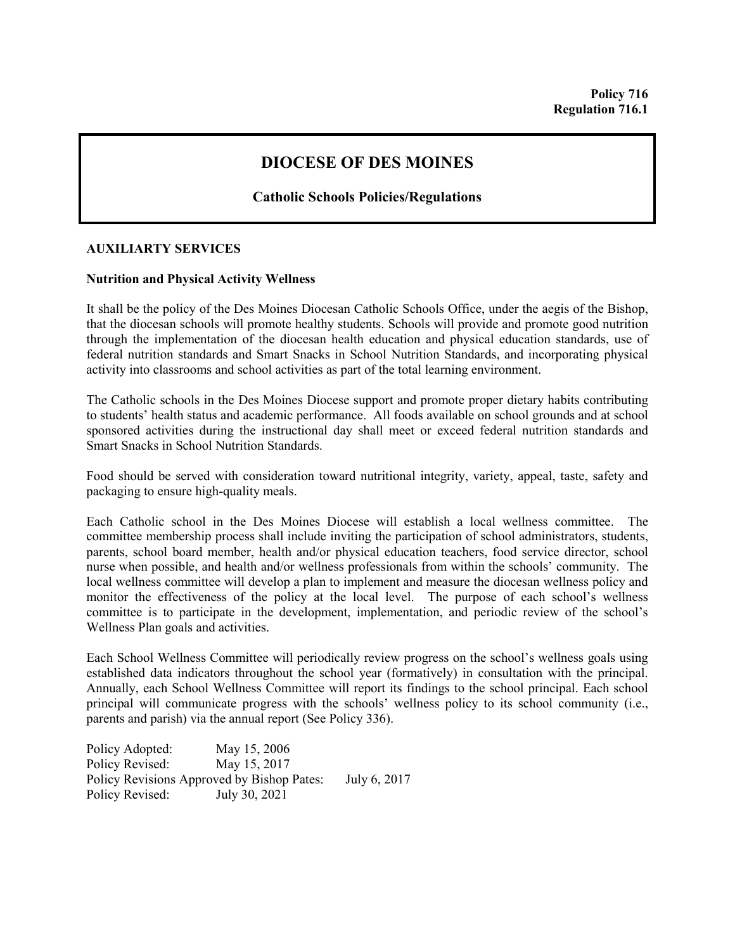## **DIOCESE OF DES MOINES**

**Catholic Schools Policies/Regulations**

## **AUXILIARTY SERVICES**

## **Nutrition and Physical Activity Wellness**

It shall be the policy of the Des Moines Diocesan Catholic Schools Office, under the aegis of the Bishop, that the diocesan schools will promote healthy students. Schools will provide and promote good nutrition through the implementation of the diocesan health education and physical education standards, use of federal nutrition standards and Smart Snacks in School Nutrition Standards, and incorporating physical activity into classrooms and school activities as part of the total learning environment.

The Catholic schools in the Des Moines Diocese support and promote proper dietary habits contributing to students' health status and academic performance. All foods available on school grounds and at school sponsored activities during the instructional day shall meet or exceed federal nutrition standards and Smart Snacks in School Nutrition Standards.

Food should be served with consideration toward nutritional integrity, variety, appeal, taste, safety and packaging to ensure high-quality meals.

Each Catholic school in the Des Moines Diocese will establish a local wellness committee. The committee membership process shall include inviting the participation of school administrators, students, parents, school board member, health and/or physical education teachers, food service director, school nurse when possible, and health and/or wellness professionals from within the schools' community. The local wellness committee will develop a plan to implement and measure the diocesan wellness policy and monitor the effectiveness of the policy at the local level. The purpose of each school's wellness committee is to participate in the development, implementation, and periodic review of the school's Wellness Plan goals and activities.

Each School Wellness Committee will periodically review progress on the school's wellness goals using established data indicators throughout the school year (formatively) in consultation with the principal. Annually, each School Wellness Committee will report its findings to the school principal. Each school principal will communicate progress with the schools' wellness policy to its school community (i.e., parents and parish) via the annual report (See Policy 336).

Policy Adopted: May 15, 2006 Policy Revised: May 15, 2017 Policy Revisions Approved by Bishop Pates: July 6, 2017 Policy Revised: July 30, 2021